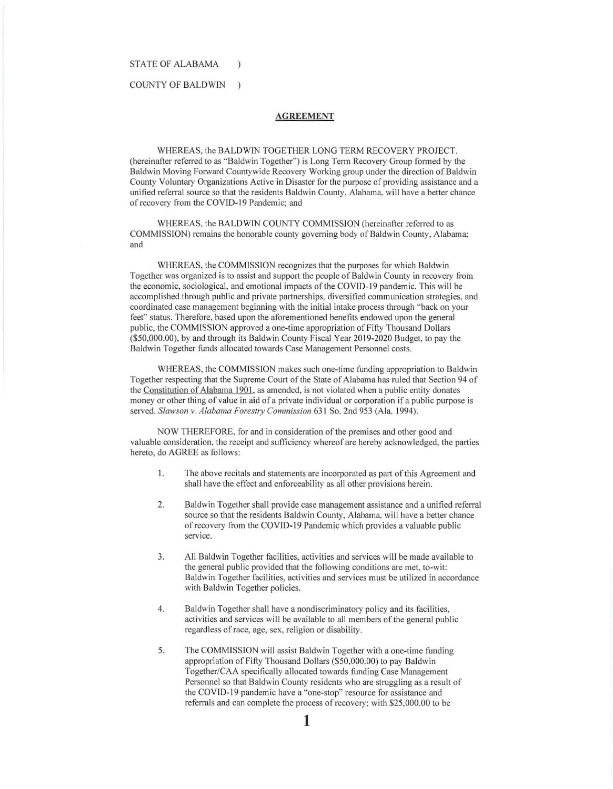#### STATE OF ALABAMA

 $\mathcal{E}$ 

#### COUNTY OF BALDWIN  $\lambda$

### **AGREEMENT**

WHEREAS, the BALDWIN TOGETHER LONG TERM RECOVERY PROJECT. (hereinafter referred to as "Baldwin Together'") is Long Term Recovery Group formed by the Baldwin Moving Forward Countywide Recovery Working group under the direction of Baldwin County Voluntary Organizations Active in Disaster for the purpose of providing assistance and a unified referral source so that the residents Baldwin County, Alabama, will have a better chance of recovery from the COVID-19 Pandemic; and

WHEREAS, the BALDWIN COUNTY COMMISSION (hereinafter referred to as COMMISSION) remains the honorable county governing body of Baldwin County, Alabama; and

WHEREAS, the COMMISSION recognizes that the purposes for which Baldwin Together was organized is to assist and support the people of Baldwin County in recovery from the economic, sociological, and emotional impacts of the COVID-19 pandemic. This will be accomplished through public and private partnerships, diversified communication strategies, and coordinated case management beginning with the initial intake process through "back on your feet" status. Therefore, based upon the aforementioned benefits endowed upon the general public, the COMMISSION approved a one-time appropriation of Fifty Thousand Dollars (\$50,000.00), by and through its Baldwin County Fiscal Year 2019-2020 Budget, to pay the Baldwin Together funds allocated towards Case Management Personnel costs.

WHEREAS, the COMMISSION makes such one-time funding appropriation to Baldwin Together respecting that the Supreme Court of the State of Alabama has ruled that Section 94 of the Constitution of Alabama 1901, as amended, is not violated when a public entity donates money or other thing of value in aid of a private individual or corporation if a public purpose is served. *Slawson v. Alabama Forestry Commission* 631 So. 2nd 953 (Ala. 1994).

NOW THEREFORE, for and in consideration of the premises and other good and valuable consideration, the receipt and sufficiency whereof are hereby acknowledged, the parties hereto, do AGREE as follows:

- I. The above recitals and statements are incorporated as part of this Agreement and shall have the effect and enforceability as all other provisions herein.
- 2. Baldwin Together shall provide case management assistance and a unified referral source so that the residents Baldwin County, Alabama, will have a better chance of recovery from the COVID-19 Pandemic which provides a valuable public service.
- 3. All Baldwin Together facilities, activities and services will be made available to the general public provided that the following conditions are met, to-wit: Baldwin Together facilities, activities and services must be utilized in accordance with Baldwin Together policies.
- 4. Baldwin Together shall have a nondiscriminatory policy and its facilities, activities and services will be available to all members of the general public regardless of race, age, sex, religion or disability.
- 5. The COMMISSION will assist Baldwin Together with a one-time funding appropriation of Fifty Thousand Dollars (\$50,000.00) to pay Baldwin Together/CAA specifically allocated towards funding Case Management Personnel so that Baldwin County residents who are struggling as a result of the COVID-19 pandemic have a "one-stop" resource for assistance and referrals and can complete the process of recovery; with \$25,000.00 to be

**1**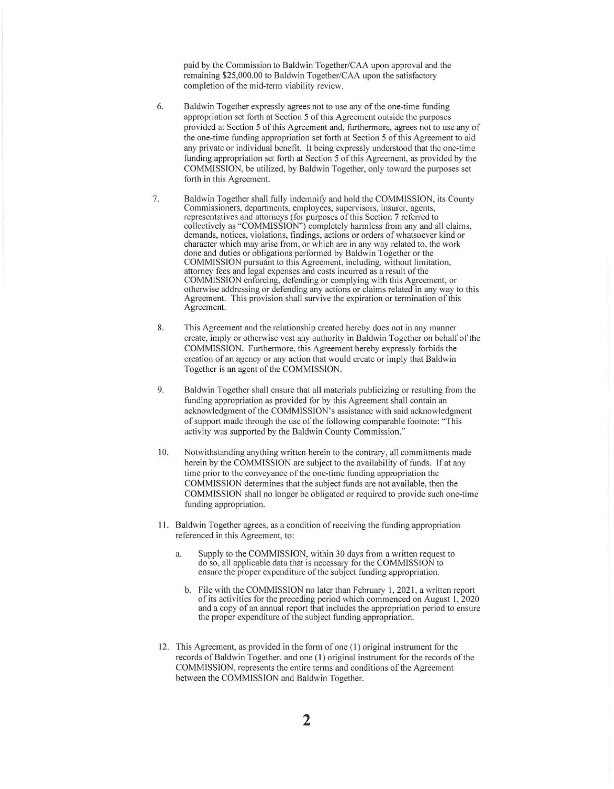paid by the Commission to Baldwin Together/CAA upon approval and the remaining \$25,000.00 to Baldwin Together/CAA upon the satisfactory completion of the mid-term viability review.

- 6. Baldwin Together expressly agrees not to use any of the one-time funding appropriation set forth at Section 5 of this Agreement outside the purposes provided at Section 5 of this Agreement and, furthermore, agrees not to use any of the one-time funding appropriation set forth at Section 5 of this Agreement to aid any private or individual benefit. It being expressly understood that the one-time funding appropriation set forth at Section 5 of this Agreement, as provided by the COMMISSION, be utilized, by Baldwin Together, only toward the purposes set forth in this Agreement.
- 7. Baldwin Together shall fully indemnify and hold the COMMISSION, its County Commissioners, departments, employees, supervisors, insurer, agents, representatives and attorneys (for purposes of this Section 7 referred to collectively as "COMMISSION") completely harmless from any and all claims, demands, notices, violations, findings, actions or orders of whatsoever kind or character which may arise from, or which are in any way related to, the work done and duties or obligations performed by Baldwin Together or the COMMlSSION pursuant to this Agreement, including, without limitation, attorney fees and legal expenses and costs incurred as a result of the COMMISSION enforcing, defending or complying with this Agreement, or otherwise addressing or defending any actions or claims related in any way to this Agreement. This provision shall survive the expiration or termination of this Agreement.
- **8.** This Agreement and the relationship created hereby does not in any manner create, imply or otherwise vest any authority in Baldwin Together on behalf of the COMMISSION. Furthermore, this Agreement hereby expressly forbids the creation of an agency or any action that would create or imply that Baldwin Together is an agent of the COMMISSION.
- 9. Baldwin Together shall ensure that all materials publicizing or resulting from the funding appropriation as provided for by this Agreement shall contain an acknowledgment of the COMMISSION's assistance with said acknowledgment of support made through the use of the following comparable footnote: "This activity was supported by the Baldwin County Commission."
- 10. Notwithstanding anything written herein to the contrary, all commitments made herein by the COMMISSION are subject to the availability of funds. If at any time prior to the conveyance of the one-time funding appropriation the COMMISSION determines that the subject funds are not available, then the COMMISSION shall no longer be obligated or required to provide such one-time funding appropriation.
- 11. Baldwin Together agrees, as a condition of receiving the funding appropriation referenced in this Agreement, to:
	- a. Supply to the COMMISSION, within 30 days from a written request to do so, all applicable data that is necessary for the COMMlSSION to ensure the proper expenditure of the subject funding appropriation.
		- b. File with the COMMISSION no later than February 1, 2021, a written report of its activities for the preceding period which commenced on August I, 2020 and a copy of an annual report that includes the appropriation period to ensure the proper expenditure of the subject funding appropriation.
- 12. This Agreement, as provided in the form of one ( I) original instrument for the records of Baldwin Together, and one ( I) original instrument for the records of the COMMISSION, represents the entire terms and conditions of the Agreement between the COMMISSION and Baldwin Together.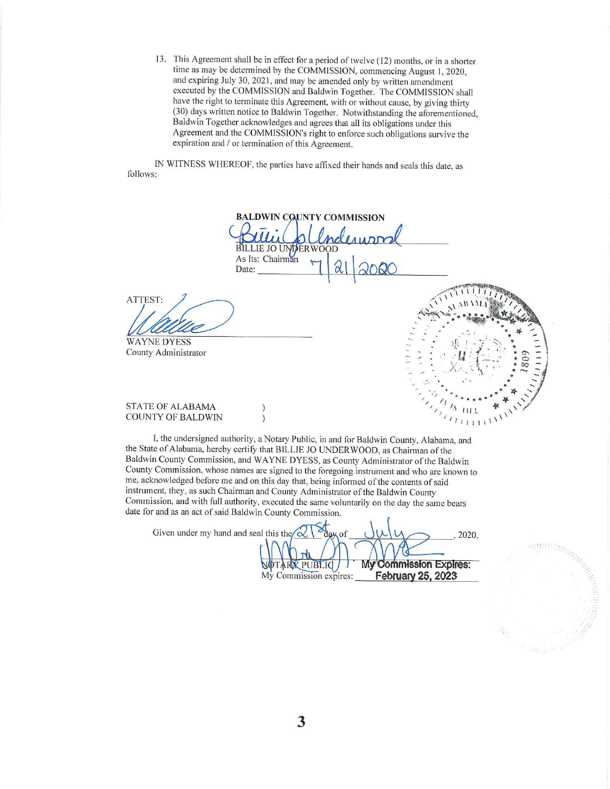13. This Agreement shall be in effect for a period of twelve (12) months, or in a shorter time as may be determined by the COMMISSION, commencing August 1, 2020, and expiring July 30, 2021 , and may be amended only by written amendment executed by the COMMISSION and Baldwin Together. The COMMISSION shall have the right to terminate this Agreement, with or without cause, by giving thirty (30) days written notice to Baldwin Together. Notwithstanding the aforementioned, Ba ldwin Together acknowledges and agrees that all its obligations under this Agreement and the COMMISSION's right to enforce such obligations survive the expiration and / or termination of this Agreement.

IN WITNESS WHEREOF, the parties have affixed their hands and seals this date, as follows:

**BALDWIN CQUNTY COMMISSION BILLIE JO UNDERWOOD** As Its: Chairman Date: ATTEST: WAYNE DYESS County Administrator

 $711111$ 

## STATE OF ALABAMA COUNTY OF BALDWIN

I, the undersigned authority, a Notary Public, in and for Baldwin County, Alabama, and the State of Alabama, hereby certify that BILLIE JO UNDERWOOD, as Chairman of the Baldwin County Commission, and WAYNE DYESS, as County Administrator of the Baldwin County Commission, whose names are signed to the foregoing instrument and who are known to me, acknowledged before me and on this day that, being informed of the contents of said instrument, they, as such Chairman and County Administrator of the Baldwin County Commission, and with full authority, executed the same voluntarily on the day the same bears date for and as an act of said Baldwin County Commission.

 $\lambda$ 

Given under my hand and seal this the 2020. My Commission Expires: **TARX PUBLIC** My Commission expires: **February 25, 2023**